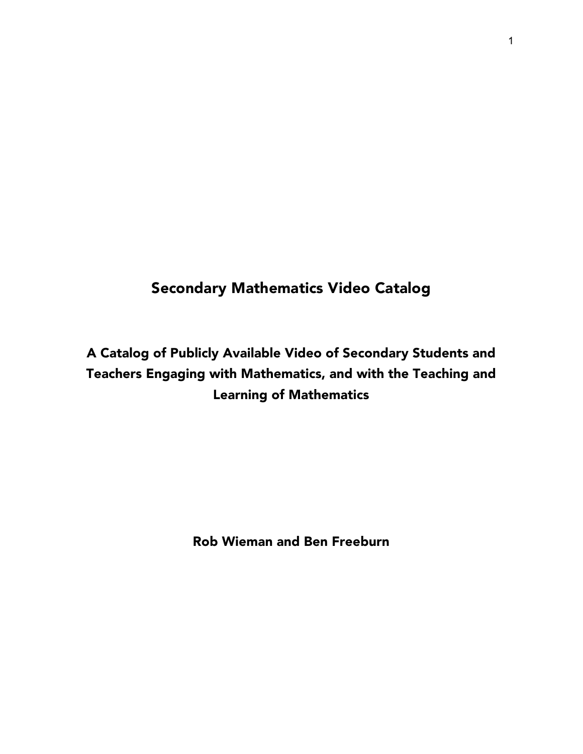## Secondary Mathematics Video Catalog

# A Catalog of Publicly Available Video of Secondary Students and Teachers Engaging with Mathematics, and with the Teaching and Learning of Mathematics

Rob Wieman and Ben Freeburn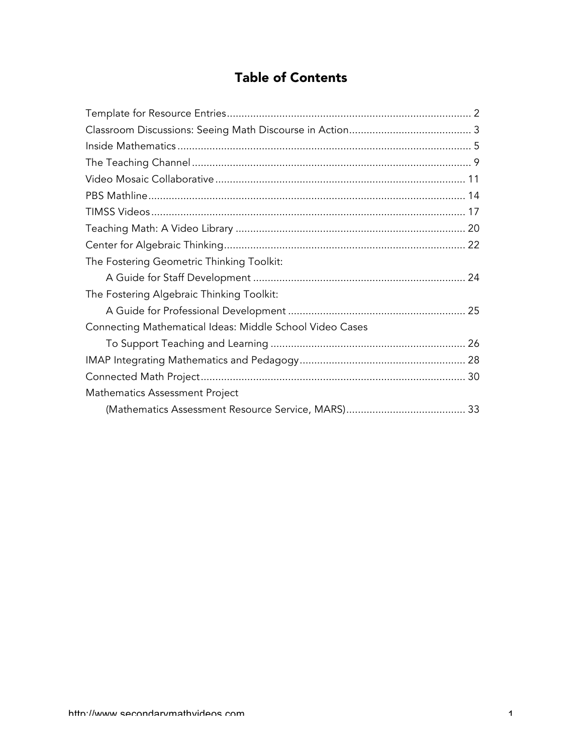## Table of Contents

| The Fostering Geometric Thinking Toolkit:                |  |
|----------------------------------------------------------|--|
|                                                          |  |
| The Fostering Algebraic Thinking Toolkit:                |  |
|                                                          |  |
| Connecting Mathematical Ideas: Middle School Video Cases |  |
|                                                          |  |
|                                                          |  |
|                                                          |  |
| Mathematics Assessment Project                           |  |
|                                                          |  |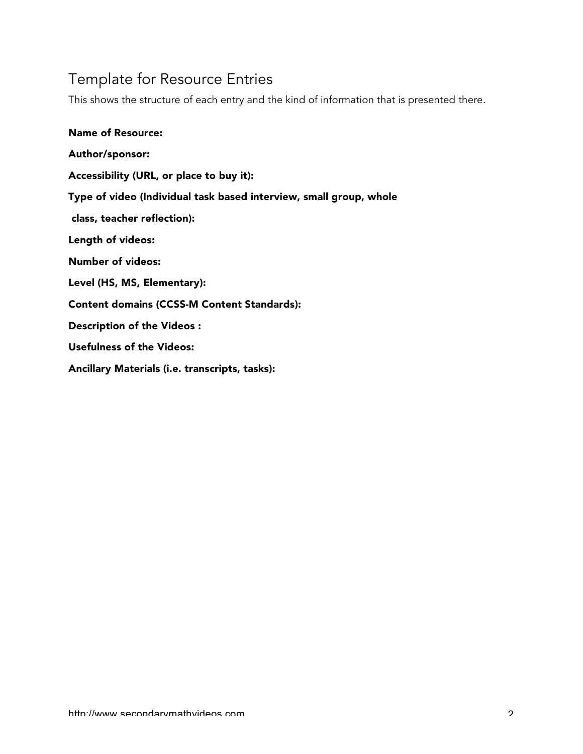# Template for Resource Entries

This shows the structure of each entry and the kind of information that is presented there.

| <b>Name of Resource:</b>                                           |
|--------------------------------------------------------------------|
| Author/sponsor:                                                    |
| Accessibility (URL, or place to buy it):                           |
| Type of video (Individual task based interview, small group, whole |
| class, teacher reflection):                                        |
| Length of videos:                                                  |
| <b>Number of videos:</b>                                           |
| Level (HS, MS, Elementary):                                        |
| <b>Content domains (CCSS-M Content Standards):</b>                 |
| Description of the Videos:                                         |
| Usefulness of the Videos:                                          |
| Ancillary Materials (i.e. transcripts, tasks):                     |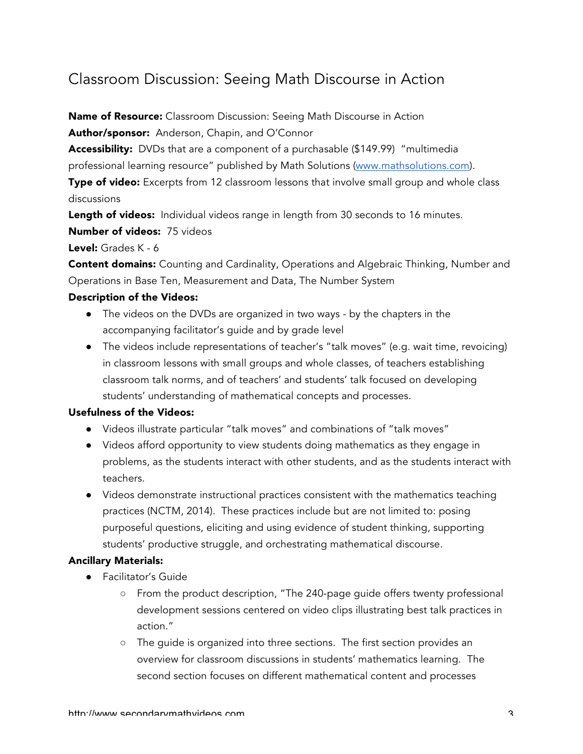## Classroom Discussion: Seeing Math Discourse in Action

Name of Resource: Classroom Discussion: Seeing Math Discourse in Action

Author/sponsor: Anderson, Chapin, and O'Connor

Accessibility: DVDs that are a component of a purchasable (\$149.99) "multimedia professional learning resource" published by Math Solutions (www.mathsolutions.com).

Type of video: Excerpts from 12 classroom lessons that involve small group and whole class discussions

Length of videos: Individual videos range in length from 30 seconds to 16 minutes.

Number of videos: 75 videos

Level: Grades K - 6

**Content domains:** Counting and Cardinality, Operations and Algebraic Thinking, Number and Operations in Base Ten, Measurement and Data, The Number System

## Description of the Videos:

- The videos on the DVDs are organized in two ways by the chapters in the accompanying facilitator's guide and by grade level
- The videos include representations of teacher's "talk moves" (e.g. wait time, revoicing) in classroom lessons with small groups and whole classes, of teachers establishing classroom talk norms, and of teachers' and students' talk focused on developing students' understanding of mathematical concepts and processes.

## Usefulness of the Videos:

- Videos illustrate particular "talk moves" and combinations of "talk moves"
- Videos afford opportunity to view students doing mathematics as they engage in problems, as the students interact with other students, and as the students interact with teachers.
- Videos demonstrate instructional practices consistent with the mathematics teaching practices (NCTM, 2014). These practices include but are not limited to: posing purposeful questions, eliciting and using evidence of student thinking, supporting students' productive struggle, and orchestrating mathematical discourse.

- Facilitator's Guide
	- From the product description, "The 240-page guide offers twenty professional development sessions centered on video clips illustrating best talk practices in action."
	- The guide is organized into three sections. The first section provides an overview for classroom discussions in students' mathematics learning. The second section focuses on different mathematical content and processes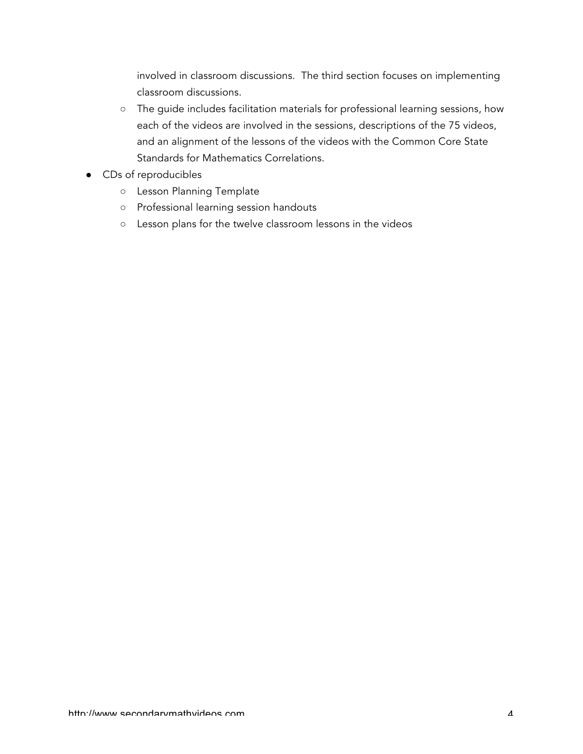involved in classroom discussions. The third section focuses on implementing classroom discussions.

- The guide includes facilitation materials for professional learning sessions, how each of the videos are involved in the sessions, descriptions of the 75 videos, and an alignment of the lessons of the videos with the Common Core State Standards for Mathematics Correlations.
- CDs of reproducibles
	- Lesson Planning Template
	- Professional learning session handouts
	- Lesson plans for the twelve classroom lessons in the videos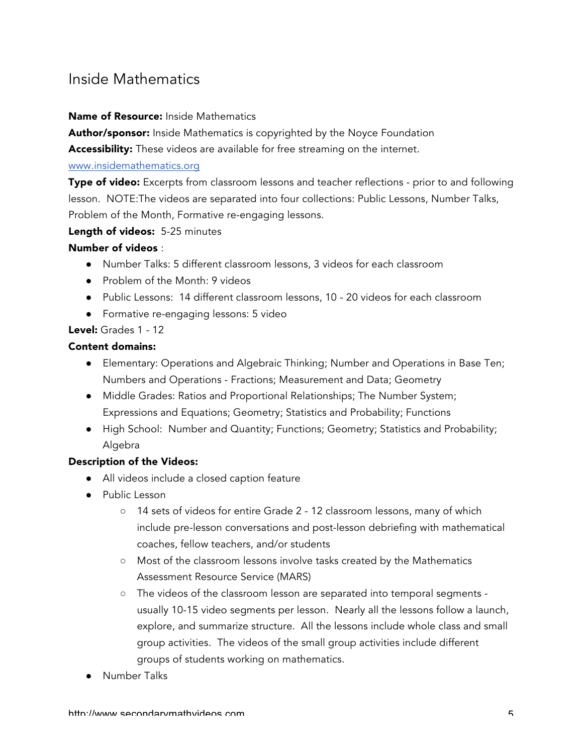## Inside Mathematics

#### Name of Resource: Inside Mathematics

Author/sponsor: Inside Mathematics is copyrighted by the Noyce Foundation

Accessibility: These videos are available for free streaming on the internet.

#### www.insidemathematics.org

**Type of video:** Excerpts from classroom lessons and teacher reflections - prior to and following lesson. NOTE:The videos are separated into four collections: Public Lessons, Number Talks, Problem of the Month, Formative re-engaging lessons.

## Length of videos: 5-25 minutes

## Number of videos :

- Number Talks: 5 different classroom lessons, 3 videos for each classroom
- Problem of the Month: 9 videos
- Public Lessons: 14 different classroom lessons, 10 20 videos for each classroom
- Formative re-engaging lessons: 5 video

## Level: Grades 1 - 12

#### Content domains:

- Elementary: Operations and Algebraic Thinking; Number and Operations in Base Ten; Numbers and Operations - Fractions; Measurement and Data; Geometry
- Middle Grades: Ratios and Proportional Relationships; The Number System; Expressions and Equations; Geometry; Statistics and Probability; Functions
- High School: Number and Quantity; Functions; Geometry; Statistics and Probability; Algebra

## Description of the Videos:

- All videos include a closed caption feature
- Public Lesson
	- 14 sets of videos for entire Grade 2 12 classroom lessons, many of which include pre-lesson conversations and post-lesson debriefing with mathematical coaches, fellow teachers, and/or students
	- Most of the classroom lessons involve tasks created by the Mathematics Assessment Resource Service (MARS)
	- The videos of the classroom lesson are separated into temporal segments usually 10-15 video segments per lesson. Nearly all the lessons follow a launch, explore, and summarize structure. All the lessons include whole class and small group activities. The videos of the small group activities include different groups of students working on mathematics.
- **Number Talks**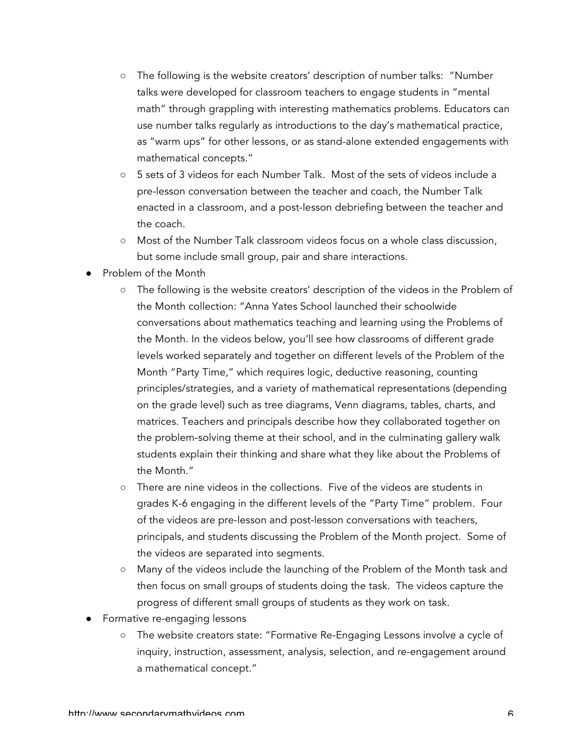- The following is the website creators' description of number talks: "Number talks were developed for classroom teachers to engage students in "mental math" through grappling with interesting mathematics problems. Educators can use number talks regularly as introductions to the day's mathematical practice, as "warm ups" for other lessons, or as stand-alone extended engagements with mathematical concepts."
- 5 sets of 3 videos for each Number Talk. Most of the sets of videos include a pre-lesson conversation between the teacher and coach, the Number Talk enacted in a classroom, and a post-lesson debriefing between the teacher and the coach.
- Most of the Number Talk classroom videos focus on a whole class discussion, but some include small group, pair and share interactions.
- Problem of the Month
	- The following is the website creators' description of the videos in the Problem of the Month collection: "Anna Yates School launched their schoolwide conversations about mathematics teaching and learning using the Problems of the Month. In the videos below, you'll see how classrooms of different grade levels worked separately and together on different levels of the Problem of the Month "Party Time," which requires logic, deductive reasoning, counting principles/strategies, and a variety of mathematical representations (depending on the grade level) such as tree diagrams, Venn diagrams, tables, charts, and matrices. Teachers and principals describe how they collaborated together on the problem-solving theme at their school, and in the culminating gallery walk students explain their thinking and share what they like about the Problems of the Month."
	- There are nine videos in the collections. Five of the videos are students in grades K-6 engaging in the different levels of the "Party Time" problem. Four of the videos are pre-lesson and post-lesson conversations with teachers, principals, and students discussing the Problem of the Month project. Some of the videos are separated into segments.
	- Many of the videos include the launching of the Problem of the Month task and then focus on small groups of students doing the task. The videos capture the progress of different small groups of students as they work on task.
- Formative re-engaging lessons
	- The website creators state: "Formative Re-Engaging Lessons involve a cycle of inquiry, instruction, assessment, analysis, selection, and re-engagement around a mathematical concept."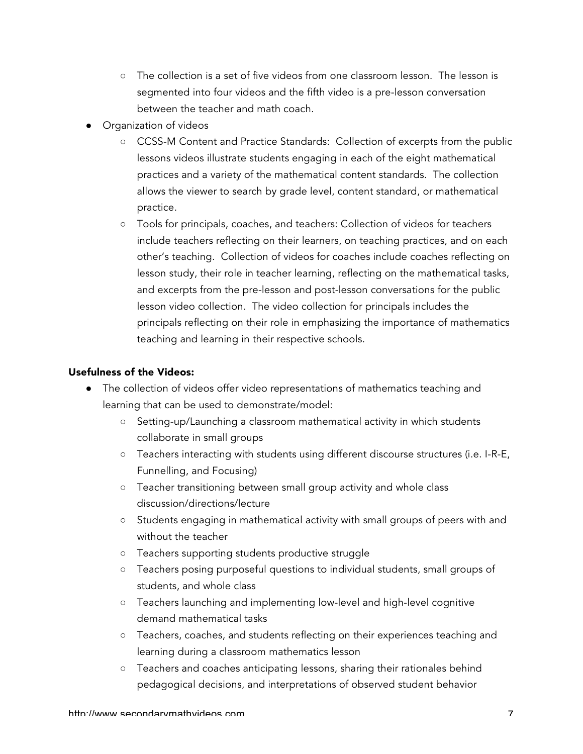- The collection is a set of five videos from one classroom lesson. The lesson is segmented into four videos and the fifth video is a pre-lesson conversation between the teacher and math coach.
- Organization of videos
	- CCSS-M Content and Practice Standards: Collection of excerpts from the public lessons videos illustrate students engaging in each of the eight mathematical practices and a variety of the mathematical content standards. The collection allows the viewer to search by grade level, content standard, or mathematical practice.
	- Tools for principals, coaches, and teachers: Collection of videos for teachers include teachers reflecting on their learners, on teaching practices, and on each other's teaching. Collection of videos for coaches include coaches reflecting on lesson study, their role in teacher learning, reflecting on the mathematical tasks, and excerpts from the pre-lesson and post-lesson conversations for the public lesson video collection. The video collection for principals includes the principals reflecting on their role in emphasizing the importance of mathematics teaching and learning in their respective schools.

## Usefulness of the Videos:

- The collection of videos offer video representations of mathematics teaching and learning that can be used to demonstrate/model:
	- Setting-up/Launching a classroom mathematical activity in which students collaborate in small groups
	- Teachers interacting with students using different discourse structures (i.e. I-R-E, Funnelling, and Focusing)
	- Teacher transitioning between small group activity and whole class discussion/directions/lecture
	- Students engaging in mathematical activity with small groups of peers with and without the teacher
	- Teachers supporting students productive struggle
	- Teachers posing purposeful questions to individual students, small groups of students, and whole class
	- Teachers launching and implementing low-level and high-level cognitive demand mathematical tasks
	- Teachers, coaches, and students reflecting on their experiences teaching and learning during a classroom mathematics lesson
	- Teachers and coaches anticipating lessons, sharing their rationales behind pedagogical decisions, and interpretations of observed student behavior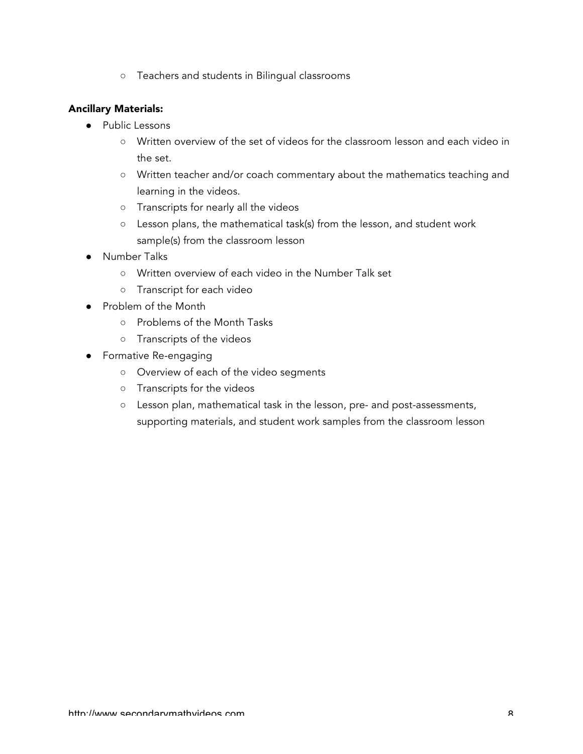○ Teachers and students in Bilingual classrooms

- Public Lessons
	- Written overview of the set of videos for the classroom lesson and each video in the set.
	- Written teacher and/or coach commentary about the mathematics teaching and learning in the videos.
	- Transcripts for nearly all the videos
	- Lesson plans, the mathematical task(s) from the lesson, and student work sample(s) from the classroom lesson
- **Number Talks** 
	- Written overview of each video in the Number Talk set
	- Transcript for each video
- Problem of the Month
	- Problems of the Month Tasks
	- Transcripts of the videos
- Formative Re-engaging
	- Overview of each of the video segments
	- Transcripts for the videos
	- Lesson plan, mathematical task in the lesson, pre- and post-assessments, supporting materials, and student work samples from the classroom lesson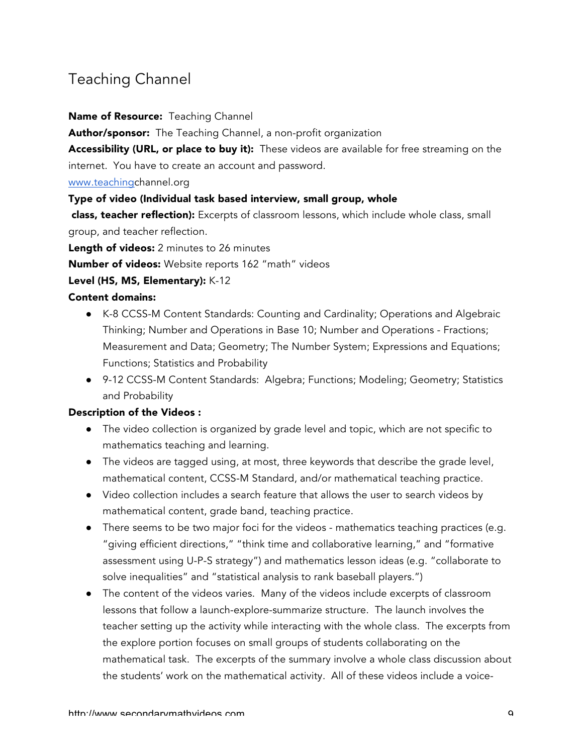## Teaching Channel

#### Name of Resource: Teaching Channel

Author/sponsor: The Teaching Channel, a non-profit organization

Accessibility (URL, or place to buy it): These videos are available for free streaming on the internet. You have to create an account and password.

www.teachingchannel.org

#### Type of video (Individual task based interview, small group, whole

class, teacher reflection): Excerpts of classroom lessons, which include whole class, small group, and teacher reflection.

Length of videos: 2 minutes to 26 minutes

Number of videos: Website reports 162 "math" videos

#### Level (HS, MS, Elementary): K-12

#### Content domains:

- K-8 CCSS-M Content Standards: Counting and Cardinality; Operations and Algebraic Thinking; Number and Operations in Base 10; Number and Operations - Fractions; Measurement and Data; Geometry; The Number System; Expressions and Equations; Functions; Statistics and Probability
- 9-12 CCSS-M Content Standards: Algebra; Functions; Modeling; Geometry; Statistics and Probability

#### Description of the Videos :

- The video collection is organized by grade level and topic, which are not specific to mathematics teaching and learning.
- The videos are tagged using, at most, three keywords that describe the grade level, mathematical content, CCSS-M Standard, and/or mathematical teaching practice.
- Video collection includes a search feature that allows the user to search videos by mathematical content, grade band, teaching practice.
- There seems to be two major foci for the videos mathematics teaching practices (e.g. "giving efficient directions," "think time and collaborative learning," and "formative assessment using U-P-S strategy") and mathematics lesson ideas (e.g. "collaborate to solve inequalities" and "statistical analysis to rank baseball players.")
- The content of the videos varies. Many of the videos include excerpts of classroom lessons that follow a launch-explore-summarize structure. The launch involves the teacher setting up the activity while interacting with the whole class. The excerpts from the explore portion focuses on small groups of students collaborating on the mathematical task. The excerpts of the summary involve a whole class discussion about the students' work on the mathematical activity. All of these videos include a voice-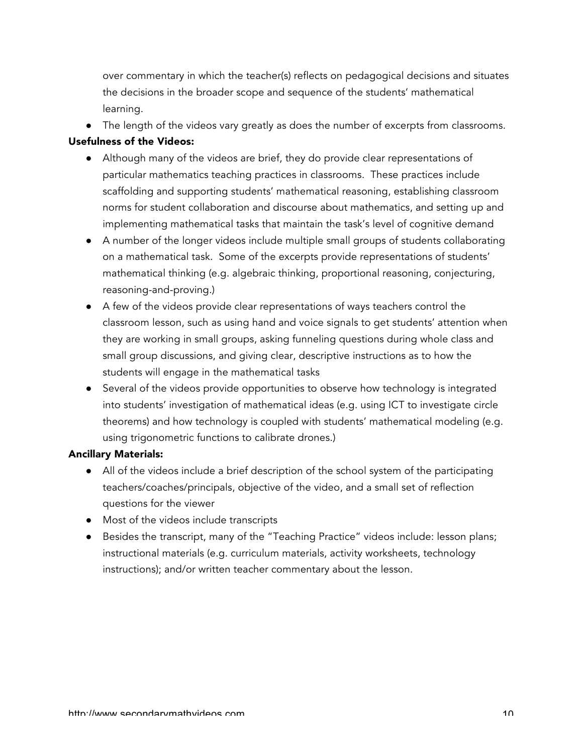over commentary in which the teacher(s) reflects on pedagogical decisions and situates the decisions in the broader scope and sequence of the students' mathematical learning.

• The length of the videos vary greatly as does the number of excerpts from classrooms.

### Usefulness of the Videos:

- Although many of the videos are brief, they do provide clear representations of particular mathematics teaching practices in classrooms. These practices include scaffolding and supporting students' mathematical reasoning, establishing classroom norms for student collaboration and discourse about mathematics, and setting up and implementing mathematical tasks that maintain the task's level of cognitive demand
- A number of the longer videos include multiple small groups of students collaborating on a mathematical task. Some of the excerpts provide representations of students' mathematical thinking (e.g. algebraic thinking, proportional reasoning, conjecturing, reasoning-and-proving.)
- A few of the videos provide clear representations of ways teachers control the classroom lesson, such as using hand and voice signals to get students' attention when they are working in small groups, asking funneling questions during whole class and small group discussions, and giving clear, descriptive instructions as to how the students will engage in the mathematical tasks
- Several of the videos provide opportunities to observe how technology is integrated into students' investigation of mathematical ideas (e.g. using ICT to investigate circle theorems) and how technology is coupled with students' mathematical modeling (e.g. using trigonometric functions to calibrate drones.)

- All of the videos include a brief description of the school system of the participating teachers/coaches/principals, objective of the video, and a small set of reflection questions for the viewer
- Most of the videos include transcripts
- Besides the transcript, many of the "Teaching Practice" videos include: lesson plans; instructional materials (e.g. curriculum materials, activity worksheets, technology instructions); and/or written teacher commentary about the lesson.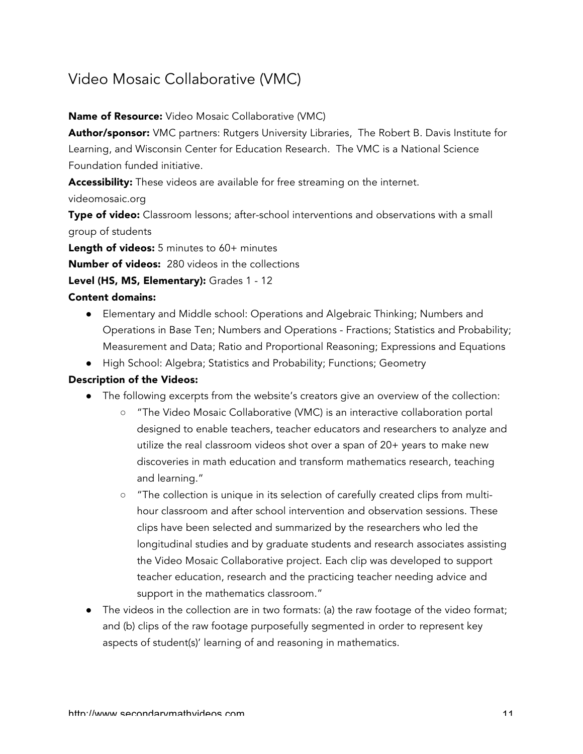## Video Mosaic Collaborative (VMC)

## Name of Resource: Video Mosaic Collaborative (VMC)

Author/sponsor: VMC partners: Rutgers University Libraries, The Robert B. Davis Institute for Learning, and Wisconsin Center for Education Research. The VMC is a National Science Foundation funded initiative.

Accessibility: These videos are available for free streaming on the internet.

videomosaic.org

Type of video: Classroom lessons; after-school interventions and observations with a small group of students

Length of videos: 5 minutes to 60+ minutes

Number of videos: 280 videos in the collections

## Level (HS, MS, Elementary): Grades 1 - 12

## Content domains:

- Elementary and Middle school: Operations and Algebraic Thinking; Numbers and Operations in Base Ten; Numbers and Operations - Fractions; Statistics and Probability; Measurement and Data; Ratio and Proportional Reasoning; Expressions and Equations
- High School: Algebra; Statistics and Probability; Functions; Geometry

### Description of the Videos:

- The following excerpts from the website's creators give an overview of the collection:
	- "The Video Mosaic Collaborative (VMC) is an interactive collaboration portal designed to enable teachers, teacher educators and researchers to analyze and utilize the real classroom videos shot over a span of 20+ years to make new discoveries in math education and transform mathematics research, teaching and learning."
	- "The collection is unique in its selection of carefully created clips from multihour classroom and after school intervention and observation sessions. These clips have been selected and summarized by the researchers who led the longitudinal studies and by graduate students and research associates assisting the Video Mosaic Collaborative project. Each clip was developed to support teacher education, research and the practicing teacher needing advice and support in the mathematics classroom."
- The videos in the collection are in two formats: (a) the raw footage of the video format; and (b) clips of the raw footage purposefully segmented in order to represent key aspects of student(s)' learning of and reasoning in mathematics.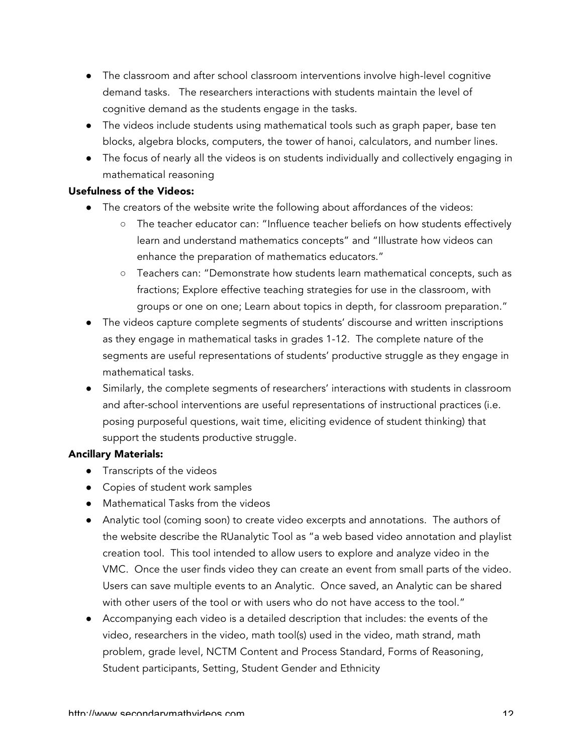- The classroom and after school classroom interventions involve high-level cognitive demand tasks. The researchers interactions with students maintain the level of cognitive demand as the students engage in the tasks.
- The videos include students using mathematical tools such as graph paper, base ten blocks, algebra blocks, computers, the tower of hanoi, calculators, and number lines.
- The focus of nearly all the videos is on students individually and collectively engaging in mathematical reasoning

## Usefulness of the Videos:

- The creators of the website write the following about affordances of the videos:
	- The teacher educator can: "Influence teacher beliefs on how students effectively learn and understand mathematics concepts" and "Illustrate how videos can enhance the preparation of mathematics educators."
	- Teachers can: "Demonstrate how students learn mathematical concepts, such as fractions; Explore effective teaching strategies for use in the classroom, with groups or one on one; Learn about topics in depth, for classroom preparation."
- The videos capture complete segments of students' discourse and written inscriptions as they engage in mathematical tasks in grades 1-12. The complete nature of the segments are useful representations of students' productive struggle as they engage in mathematical tasks.
- Similarly, the complete segments of researchers' interactions with students in classroom and after-school interventions are useful representations of instructional practices (i.e. posing purposeful questions, wait time, eliciting evidence of student thinking) that support the students productive struggle.

- Transcripts of the videos
- Copies of student work samples
- Mathematical Tasks from the videos
- Analytic tool (coming soon) to create video excerpts and annotations. The authors of the website describe the RUanalytic Tool as "a web based video annotation and playlist creation tool. This tool intended to allow users to explore and analyze video in the VMC. Once the user finds video they can create an event from small parts of the video. Users can save multiple events to an Analytic. Once saved, an Analytic can be shared with other users of the tool or with users who do not have access to the tool."
- Accompanying each video is a detailed description that includes: the events of the video, researchers in the video, math tool(s) used in the video, math strand, math problem, grade level, NCTM Content and Process Standard, Forms of Reasoning, Student participants, Setting, Student Gender and Ethnicity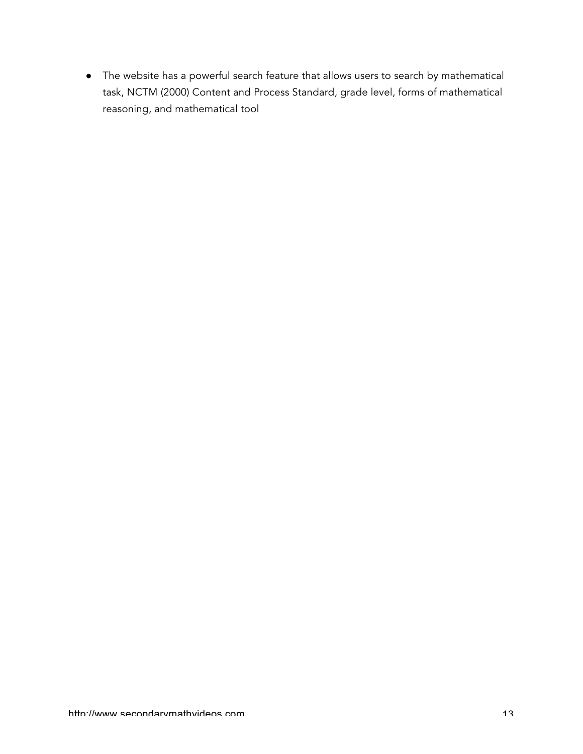● The website has a powerful search feature that allows users to search by mathematical task, NCTM (2000) Content and Process Standard, grade level, forms of mathematical reasoning, and mathematical tool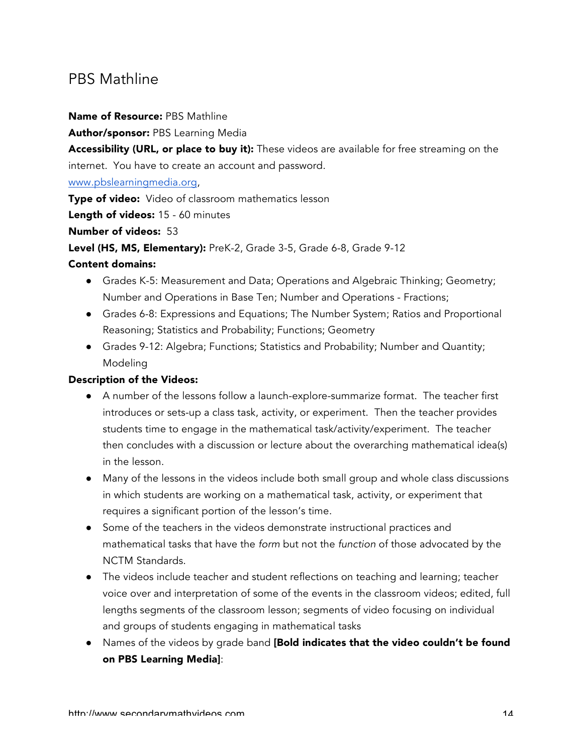## PBS Mathline

#### Name of Resource: PBS Mathline

Author/sponsor: PBS Learning Media

Accessibility (URL, or place to buy it): These videos are available for free streaming on the internet. You have to create an account and password.

www.pbslearningmedia.org,

Type of video: Video of classroom mathematics lesson

Length of videos: 15 - 60 minutes

Number of videos: 53

Level (HS, MS, Elementary): PreK-2, Grade 3-5, Grade 6-8, Grade 9-12

#### Content domains:

- Grades K-5: Measurement and Data; Operations and Algebraic Thinking; Geometry; Number and Operations in Base Ten; Number and Operations - Fractions;
- Grades 6-8: Expressions and Equations; The Number System; Ratios and Proportional Reasoning; Statistics and Probability; Functions; Geometry
- Grades 9-12: Algebra; Functions; Statistics and Probability; Number and Quantity; Modeling

## Description of the Videos:

- A number of the lessons follow a launch-explore-summarize format. The teacher first introduces or sets-up a class task, activity, or experiment. Then the teacher provides students time to engage in the mathematical task/activity/experiment. The teacher then concludes with a discussion or lecture about the overarching mathematical idea(s) in the lesson.
- Many of the lessons in the videos include both small group and whole class discussions in which students are working on a mathematical task, activity, or experiment that requires a significant portion of the lesson's time.
- Some of the teachers in the videos demonstrate instructional practices and mathematical tasks that have the *form* but not the *function* of those advocated by the NCTM Standards.
- The videos include teacher and student reflections on teaching and learning; teacher voice over and interpretation of some of the events in the classroom videos; edited, full lengths segments of the classroom lesson; segments of video focusing on individual and groups of students engaging in mathematical tasks
- Names of the videos by grade band [Bold indicates that the video couldn't be found on PBS Learning Media]: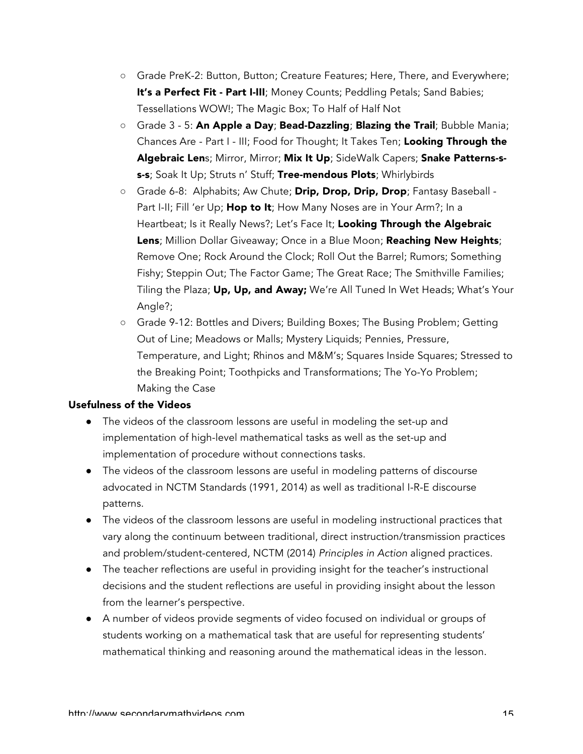- Grade PreK-2: Button, Button; Creature Features; Here, There, and Everywhere; It's a Perfect Fit - Part I-III; Money Counts; Peddling Petals; Sand Babies; Tessellations WOW!; The Magic Box; To Half of Half Not
- Grade 3 5: An Apple a Day; Bead-Dazzling; Blazing the Trail; Bubble Mania; Chances Are - Part I - III; Food for Thought; It Takes Ten; Looking Through the Algebraic Lens; Mirror, Mirror; Mix It Up; SideWalk Capers; Snake Patterns-ss-s; Soak It Up; Struts n' Stuff; Tree-mendous Plots; Whirlybirds
- Grade 6-8: Alphabits; Aw Chute; Drip, Drop, Drip, Drop; Fantasy Baseball -Part I-II; Fill 'er Up; Hop to It; How Many Noses are in Your Arm?; In a Heartbeat; Is it Really News?; Let's Face It; Looking Through the Algebraic Lens; Million Dollar Giveaway; Once in a Blue Moon; Reaching New Heights; Remove One; Rock Around the Clock; Roll Out the Barrel; Rumors; Something Fishy; Steppin Out; The Factor Game; The Great Race; The Smithville Families; Tiling the Plaza; Up, Up, and Away; We're All Tuned In Wet Heads; What's Your Angle?;
- Grade 9-12: Bottles and Divers; Building Boxes; The Busing Problem; Getting Out of Line; Meadows or Malls; Mystery Liquids; Pennies, Pressure, Temperature, and Light; Rhinos and M&M's; Squares Inside Squares; Stressed to the Breaking Point; Toothpicks and Transformations; The Yo-Yo Problem; Making the Case

#### Usefulness of the Videos

- The videos of the classroom lessons are useful in modeling the set-up and implementation of high-level mathematical tasks as well as the set-up and implementation of procedure without connections tasks.
- The videos of the classroom lessons are useful in modeling patterns of discourse advocated in NCTM Standards (1991, 2014) as well as traditional I-R-E discourse patterns.
- The videos of the classroom lessons are useful in modeling instructional practices that vary along the continuum between traditional, direct instruction/transmission practices and problem/student-centered, NCTM (2014) *Principles in Action* aligned practices.
- The teacher reflections are useful in providing insight for the teacher's instructional decisions and the student reflections are useful in providing insight about the lesson from the learner's perspective.
- A number of videos provide segments of video focused on individual or groups of students working on a mathematical task that are useful for representing students' mathematical thinking and reasoning around the mathematical ideas in the lesson.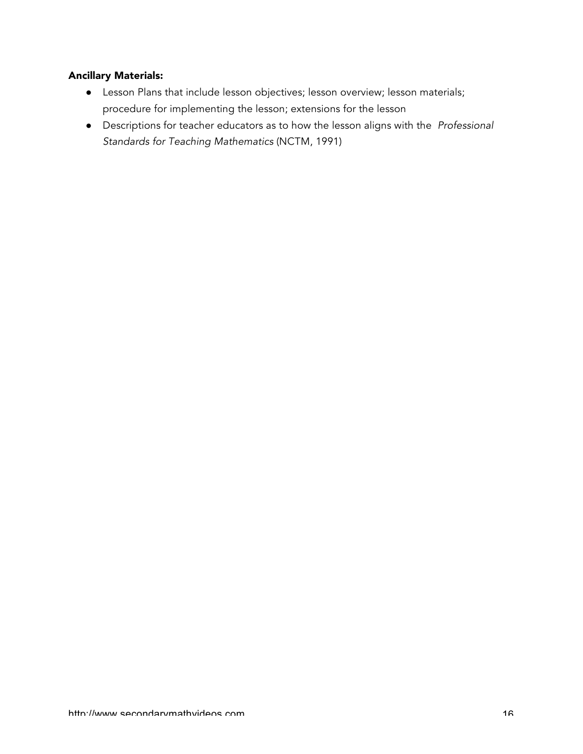- Lesson Plans that include lesson objectives; lesson overview; lesson materials; procedure for implementing the lesson; extensions for the lesson
- Descriptions for teacher educators as to how the lesson aligns with the *Professional Standards for Teaching Mathematics* (NCTM, 1991)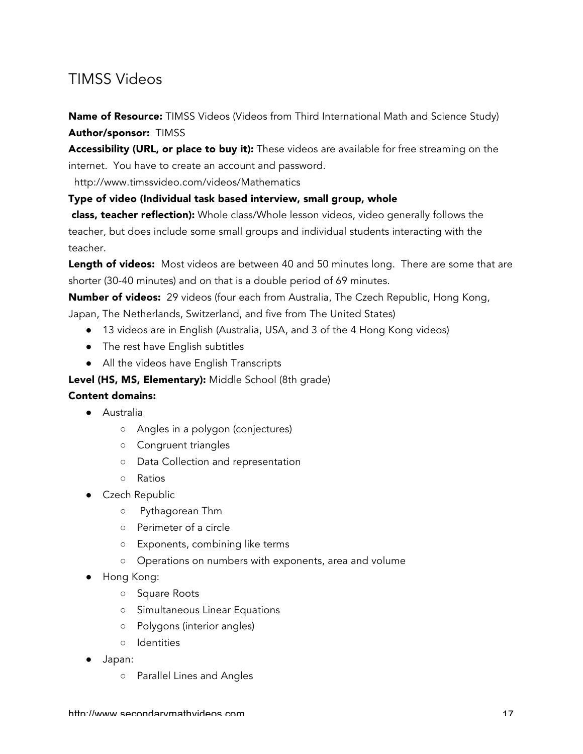## TIMSS Videos

Name of Resource: TIMSS Videos (Videos from Third International Math and Science Study) Author/sponsor: TIMSS

Accessibility (URL, or place to buy it): These videos are available for free streaming on the internet. You have to create an account and password.

http://www.timssvideo.com/videos/Mathematics

#### Type of video (Individual task based interview, small group, whole

class, teacher reflection): Whole class/Whole lesson videos, video generally follows the teacher, but does include some small groups and individual students interacting with the teacher.

Length of videos: Most videos are between 40 and 50 minutes long. There are some that are shorter (30-40 minutes) and on that is a double period of 69 minutes.

Number of videos: 29 videos (four each from Australia, The Czech Republic, Hong Kong,

Japan, The Netherlands, Switzerland, and five from The United States)

- 13 videos are in English (Australia, USA, and 3 of the 4 Hong Kong videos)
- The rest have English subtitles
- All the videos have English Transcripts

Level (HS, MS, Elementary): Middle School (8th grade)

### Content domains:

- Australia
	- Angles in a polygon (conjectures)
	- Congruent triangles
	- Data Collection and representation
	- Ratios
- Czech Republic
	- Pythagorean Thm
	- Perimeter of a circle
	- Exponents, combining like terms
	- Operations on numbers with exponents, area and volume
- Hong Kong:
	- Square Roots
	- Simultaneous Linear Equations
	- Polygons (interior angles)
	- Identities
- Japan:
	- Parallel Lines and Angles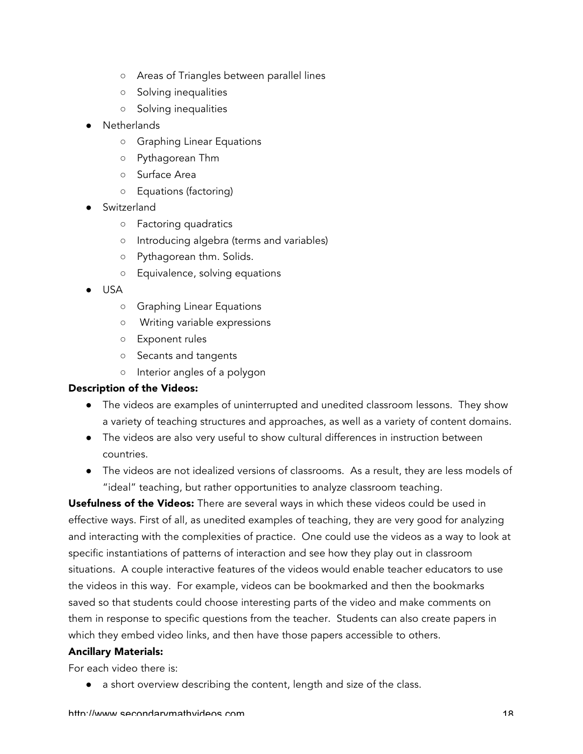- Areas of Triangles between parallel lines
- Solving inequalities
- Solving inequalities
- **Netherlands** 
	- Graphing Linear Equations
	- Pythagorean Thm
	- Surface Area
	- Equations (factoring)
- Switzerland
	- Factoring quadratics
	- Introducing algebra (terms and variables)
	- Pythagorean thm. Solids.
	- Equivalence, solving equations
- USA
	- Graphing Linear Equations
	- Writing variable expressions
	- Exponent rules
	- Secants and tangents
	- Interior angles of a polygon

#### Description of the Videos:

- The videos are examples of uninterrupted and unedited classroom lessons. They show a variety of teaching structures and approaches, as well as a variety of content domains.
- The videos are also very useful to show cultural differences in instruction between countries.
- The videos are not idealized versions of classrooms. As a result, they are less models of "ideal" teaching, but rather opportunities to analyze classroom teaching.

Usefulness of the Videos: There are several ways in which these videos could be used in effective ways. First of all, as unedited examples of teaching, they are very good for analyzing and interacting with the complexities of practice. One could use the videos as a way to look at specific instantiations of patterns of interaction and see how they play out in classroom situations. A couple interactive features of the videos would enable teacher educators to use the videos in this way. For example, videos can be bookmarked and then the bookmarks saved so that students could choose interesting parts of the video and make comments on them in response to specific questions from the teacher. Students can also create papers in which they embed video links, and then have those papers accessible to others.

#### Ancillary Materials:

For each video there is:

● a short overview describing the content, length and size of the class.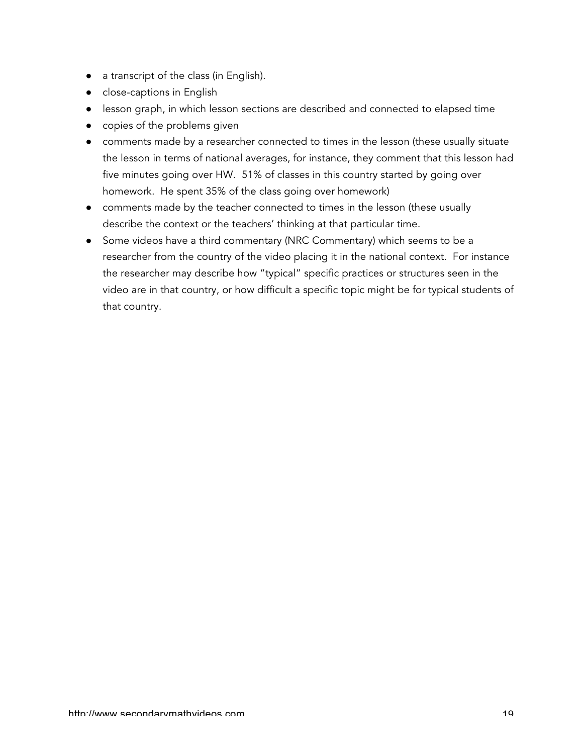- a transcript of the class (in English).
- close-captions in English
- lesson graph, in which lesson sections are described and connected to elapsed time
- copies of the problems given
- comments made by a researcher connected to times in the lesson (these usually situate the lesson in terms of national averages, for instance, they comment that this lesson had five minutes going over HW. 51% of classes in this country started by going over homework. He spent 35% of the class going over homework)
- comments made by the teacher connected to times in the lesson (these usually describe the context or the teachers' thinking at that particular time.
- Some videos have a third commentary (NRC Commentary) which seems to be a researcher from the country of the video placing it in the national context. For instance the researcher may describe how "typical" specific practices or structures seen in the video are in that country, or how difficult a specific topic might be for typical students of that country.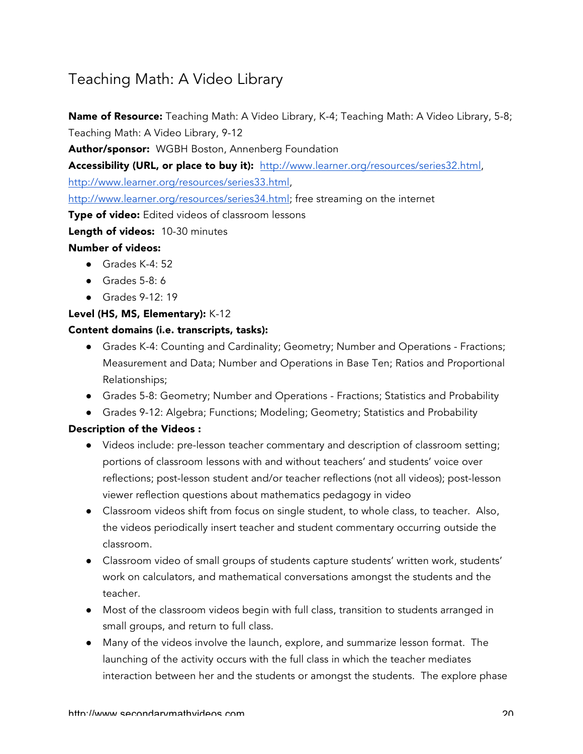## Teaching Math: A Video Library

Name of Resource: Teaching Math: A Video Library, K-4; Teaching Math: A Video Library, 5-8; Teaching Math: A Video Library, 9-12

Author/sponsor: WGBH Boston, Annenberg Foundation

Accessibility (URL, or place to buy it): http://www.learner.org/resources/series32.html, http://www.learner.org/resources/series33.html,

http://www.learner.org/resources/series34.html; free streaming on the internet

**Type of video:** Edited videos of classroom lessons

Length of videos: 10-30 minutes

## Number of videos:

- Grades K-4: 52
- Grades 5-8: 6
- Grades 9-12: 19

## Level (HS, MS, Elementary): K-12

## Content domains (i.e. transcripts, tasks):

- Grades K-4: Counting and Cardinality; Geometry; Number and Operations Fractions; Measurement and Data; Number and Operations in Base Ten; Ratios and Proportional Relationships;
- Grades 5-8: Geometry; Number and Operations Fractions; Statistics and Probability
- Grades 9-12: Algebra; Functions; Modeling; Geometry; Statistics and Probability

## Description of the Videos :

- Videos include: pre-lesson teacher commentary and description of classroom setting; portions of classroom lessons with and without teachers' and students' voice over reflections; post-lesson student and/or teacher reflections (not all videos); post-lesson viewer reflection questions about mathematics pedagogy in video
- Classroom videos shift from focus on single student, to whole class, to teacher. Also, the videos periodically insert teacher and student commentary occurring outside the classroom.
- Classroom video of small groups of students capture students' written work, students' work on calculators, and mathematical conversations amongst the students and the teacher.
- Most of the classroom videos begin with full class, transition to students arranged in small groups, and return to full class.
- Many of the videos involve the launch, explore, and summarize lesson format. The launching of the activity occurs with the full class in which the teacher mediates interaction between her and the students or amongst the students. The explore phase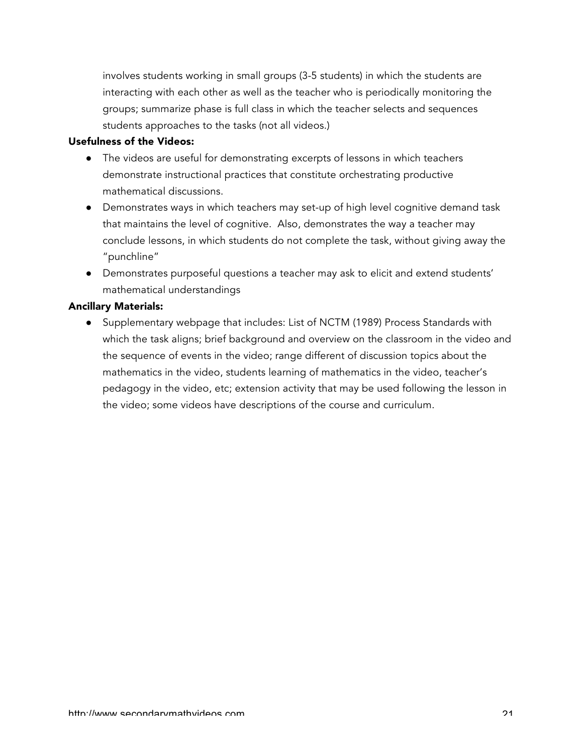involves students working in small groups (3-5 students) in which the students are interacting with each other as well as the teacher who is periodically monitoring the groups; summarize phase is full class in which the teacher selects and sequences students approaches to the tasks (not all videos.)

#### Usefulness of the Videos:

- The videos are useful for demonstrating excerpts of lessons in which teachers demonstrate instructional practices that constitute orchestrating productive mathematical discussions.
- Demonstrates ways in which teachers may set-up of high level cognitive demand task that maintains the level of cognitive. Also, demonstrates the way a teacher may conclude lessons, in which students do not complete the task, without giving away the "punchline"
- Demonstrates purposeful questions a teacher may ask to elicit and extend students' mathematical understandings

#### Ancillary Materials:

● Supplementary webpage that includes: List of NCTM (1989) Process Standards with which the task aligns; brief background and overview on the classroom in the video and the sequence of events in the video; range different of discussion topics about the mathematics in the video, students learning of mathematics in the video, teacher's pedagogy in the video, etc; extension activity that may be used following the lesson in the video; some videos have descriptions of the course and curriculum.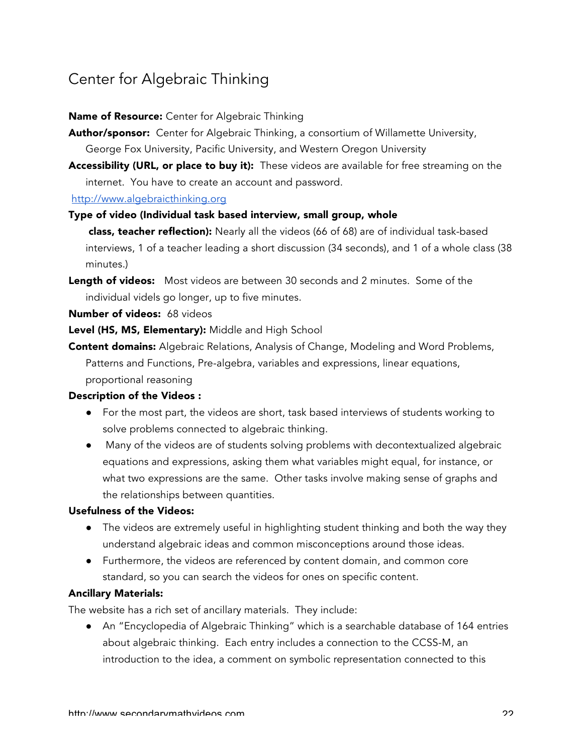## Center for Algebraic Thinking

#### Name of Resource: Center for Algebraic Thinking

- Author/sponsor: Center for Algebraic Thinking, a consortium of Willamette University, George Fox University, Pacific University, and Western Oregon University
- Accessibility (URL, or place to buy it): These videos are available for free streaming on the internet. You have to create an account and password.

#### http://www.algebraicthinking.org

## Type of video (Individual task based interview, small group, whole

class, teacher reflection): Nearly all the videos (66 of 68) are of individual task-based interviews, 1 of a teacher leading a short discussion (34 seconds), and 1 of a whole class (38 minutes.)

Length of videos: Most videos are between 30 seconds and 2 minutes. Some of the individual videls go longer, up to five minutes.

#### Number of videos: 68 videos

Level (HS, MS, Elementary): Middle and High School

Content domains: Algebraic Relations, Analysis of Change, Modeling and Word Problems, Patterns and Functions, Pre-algebra, variables and expressions, linear equations, proportional reasoning

#### Description of the Videos :

- For the most part, the videos are short, task based interviews of students working to solve problems connected to algebraic thinking.
- Many of the videos are of students solving problems with decontextualized algebraic equations and expressions, asking them what variables might equal, for instance, or what two expressions are the same. Other tasks involve making sense of graphs and the relationships between quantities.

#### Usefulness of the Videos:

- The videos are extremely useful in highlighting student thinking and both the way they understand algebraic ideas and common misconceptions around those ideas.
- Furthermore, the videos are referenced by content domain, and common core standard, so you can search the videos for ones on specific content.

#### Ancillary Materials:

The website has a rich set of ancillary materials. They include:

● An "Encyclopedia of Algebraic Thinking" which is a searchable database of 164 entries about algebraic thinking. Each entry includes a connection to the CCSS-M, an introduction to the idea, a comment on symbolic representation connected to this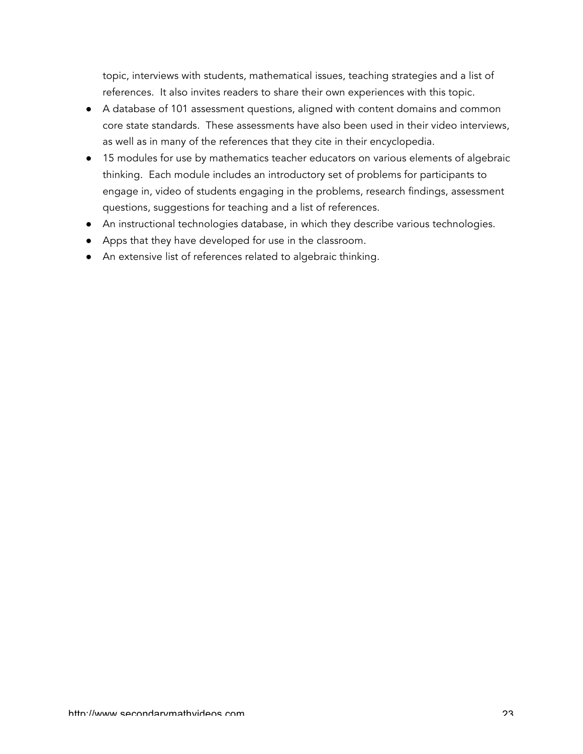topic, interviews with students, mathematical issues, teaching strategies and a list of references. It also invites readers to share their own experiences with this topic.

- A database of 101 assessment questions, aligned with content domains and common core state standards. These assessments have also been used in their video interviews, as well as in many of the references that they cite in their encyclopedia.
- 15 modules for use by mathematics teacher educators on various elements of algebraic thinking. Each module includes an introductory set of problems for participants to engage in, video of students engaging in the problems, research findings, assessment questions, suggestions for teaching and a list of references.
- An instructional technologies database, in which they describe various technologies.
- Apps that they have developed for use in the classroom.
- An extensive list of references related to algebraic thinking.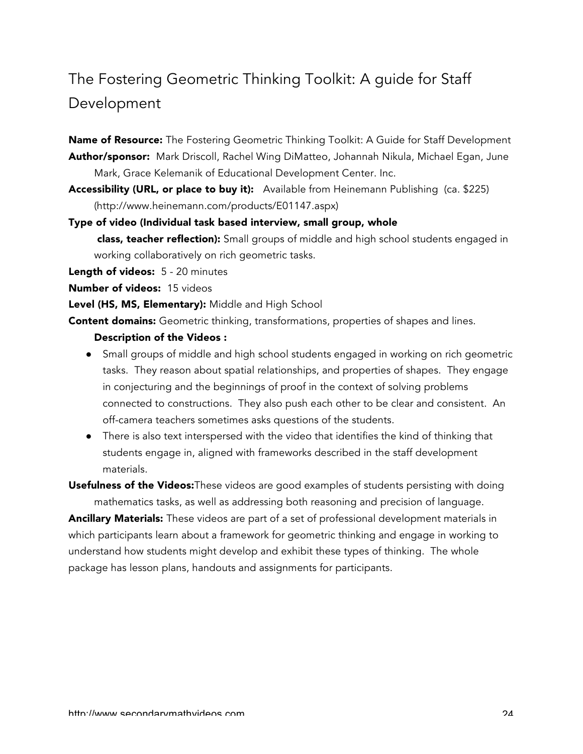# The Fostering Geometric Thinking Toolkit: A guide for Staff Development

Name of Resource: The Fostering Geometric Thinking Toolkit: A Guide for Staff Development Author/sponsor: Mark Driscoll, Rachel Wing DiMatteo, Johannah Nikula, Michael Egan, June Mark, Grace Kelemanik of Educational Development Center. Inc.

Accessibility (URL, or place to buy it): Available from Heinemann Publishing (ca. \$225) (http://www.heinemann.com/products/E01147.aspx)

Type of video (Individual task based interview, small group, whole class, teacher reflection): Small groups of middle and high school students engaged in working collaboratively on rich geometric tasks.

Length of videos: 5 - 20 minutes

Number of videos: 15 videos

Level (HS, MS, Elementary): Middle and High School

**Content domains:** Geometric thinking, transformations, properties of shapes and lines.

#### Description of the Videos :

- Small groups of middle and high school students engaged in working on rich geometric tasks. They reason about spatial relationships, and properties of shapes. They engage in conjecturing and the beginnings of proof in the context of solving problems connected to constructions. They also push each other to be clear and consistent. An off-camera teachers sometimes asks questions of the students.
- There is also text interspersed with the video that identifies the kind of thinking that students engage in, aligned with frameworks described in the staff development materials.

Usefulness of the Videos: These videos are good examples of students persisting with doing mathematics tasks, as well as addressing both reasoning and precision of language.

Ancillary Materials: These videos are part of a set of professional development materials in which participants learn about a framework for geometric thinking and engage in working to understand how students might develop and exhibit these types of thinking. The whole package has lesson plans, handouts and assignments for participants.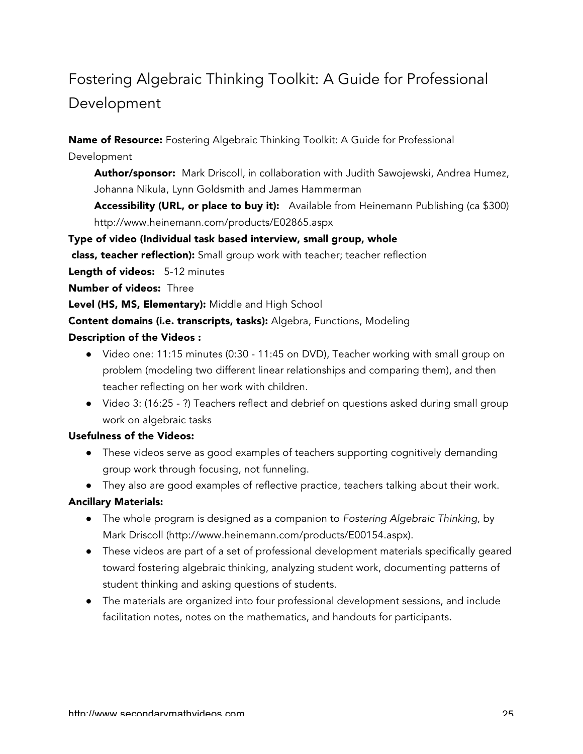# Fostering Algebraic Thinking Toolkit: A Guide for Professional Development

Name of Resource: Fostering Algebraic Thinking Toolkit: A Guide for Professional Development

Author/sponsor: Mark Driscoll, in collaboration with Judith Sawojewski, Andrea Humez, Johanna Nikula, Lynn Goldsmith and James Hammerman

Accessibility (URL, or place to buy it): Available from Heinemann Publishing (ca \$300) http://www.heinemann.com/products/E02865.aspx

Type of video (Individual task based interview, small group, whole

class, teacher reflection): Small group work with teacher; teacher reflection

Length of videos: 5-12 minutes

Number of videos: Three

Level (HS, MS, Elementary): Middle and High School

Content domains (i.e. transcripts, tasks): Algebra, Functions, Modeling

#### Description of the Videos :

- Video one: 11:15 minutes (0:30 11:45 on DVD), Teacher working with small group on problem (modeling two different linear relationships and comparing them), and then teacher reflecting on her work with children.
- Video 3: (16:25 ?) Teachers reflect and debrief on questions asked during small group work on algebraic tasks

### Usefulness of the Videos:

- These videos serve as good examples of teachers supporting cognitively demanding group work through focusing, not funneling.
- They also are good examples of reflective practice, teachers talking about their work.

- The whole program is designed as a companion to *Fostering Algebraic Thinking*, by Mark Driscoll (http://www.heinemann.com/products/E00154.aspx).
- These videos are part of a set of professional development materials specifically geared toward fostering algebraic thinking, analyzing student work, documenting patterns of student thinking and asking questions of students.
- The materials are organized into four professional development sessions, and include facilitation notes, notes on the mathematics, and handouts for participants.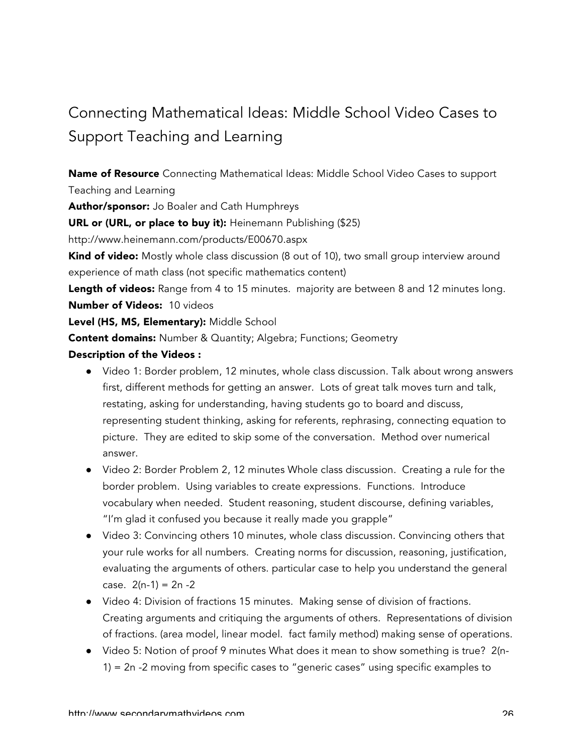# Connecting Mathematical Ideas: Middle School Video Cases to Support Teaching and Learning

Name of Resource Connecting Mathematical Ideas: Middle School Video Cases to support Teaching and Learning

Author/sponsor: Jo Boaler and Cath Humphreys

URL or (URL, or place to buy it): Heinemann Publishing (\$25)

http://www.heinemann.com/products/E00670.aspx

**Kind of video:** Mostly whole class discussion (8 out of 10), two small group interview around experience of math class (not specific mathematics content)

Length of videos: Range from 4 to 15 minutes. majority are between 8 and 12 minutes long. Number of Videos: 10 videos

Level (HS, MS, Elementary): Middle School

**Content domains:** Number & Quantity; Algebra; Functions; Geometry

## Description of the Videos :

- Video 1: Border problem, 12 minutes, whole class discussion. Talk about wrong answers first, different methods for getting an answer. Lots of great talk moves turn and talk, restating, asking for understanding, having students go to board and discuss, representing student thinking, asking for referents, rephrasing, connecting equation to picture. They are edited to skip some of the conversation. Method over numerical answer.
- Video 2: Border Problem 2, 12 minutes Whole class discussion. Creating a rule for the border problem. Using variables to create expressions. Functions. Introduce vocabulary when needed. Student reasoning, student discourse, defining variables, "I'm glad it confused you because it really made you grapple"
- Video 3: Convincing others 10 minutes, whole class discussion. Convincing others that your rule works for all numbers. Creating norms for discussion, reasoning, justification, evaluating the arguments of others. particular case to help you understand the general case.  $2(n-1) = 2n -2$
- Video 4: Division of fractions 15 minutes. Making sense of division of fractions. Creating arguments and critiquing the arguments of others. Representations of division of fractions. (area model, linear model. fact family method) making sense of operations.
- Video 5: Notion of proof 9 minutes What does it mean to show something is true? 2(n-1) = 2n -2 moving from specific cases to "generic cases" using specific examples to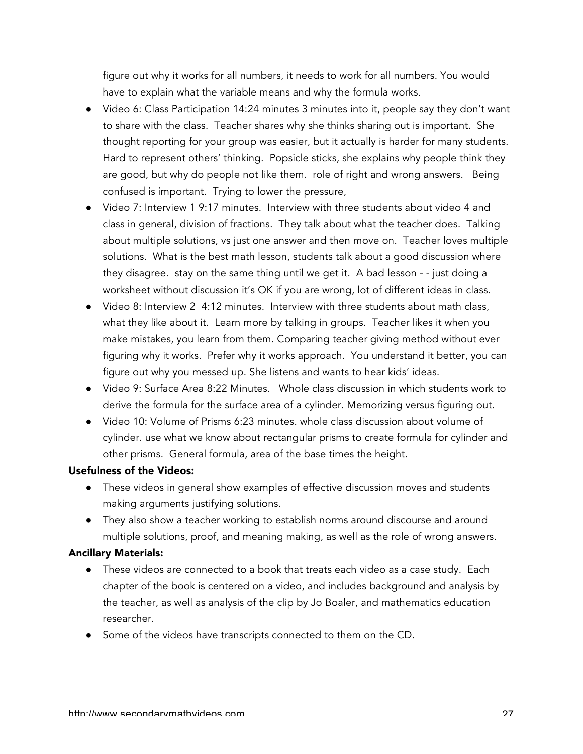figure out why it works for all numbers, it needs to work for all numbers. You would have to explain what the variable means and why the formula works.

- Video 6: Class Participation 14:24 minutes 3 minutes into it, people say they don't want to share with the class. Teacher shares why she thinks sharing out is important. She thought reporting for your group was easier, but it actually is harder for many students. Hard to represent others' thinking. Popsicle sticks, she explains why people think they are good, but why do people not like them. role of right and wrong answers. Being confused is important. Trying to lower the pressure,
- Video 7: Interview 1 9:17 minutes. Interview with three students about video 4 and class in general, division of fractions. They talk about what the teacher does. Talking about multiple solutions, vs just one answer and then move on. Teacher loves multiple solutions. What is the best math lesson, students talk about a good discussion where they disagree. stay on the same thing until we get it. A bad lesson - - just doing a worksheet without discussion it's OK if you are wrong, lot of different ideas in class.
- Video 8: Interview 2 4:12 minutes. Interview with three students about math class, what they like about it. Learn more by talking in groups. Teacher likes it when you make mistakes, you learn from them. Comparing teacher giving method without ever figuring why it works. Prefer why it works approach. You understand it better, you can figure out why you messed up. She listens and wants to hear kids' ideas.
- Video 9: Surface Area 8:22 Minutes. Whole class discussion in which students work to derive the formula for the surface area of a cylinder. Memorizing versus figuring out.
- Video 10: Volume of Prisms 6:23 minutes. whole class discussion about volume of cylinder. use what we know about rectangular prisms to create formula for cylinder and other prisms. General formula, area of the base times the height.

### Usefulness of the Videos:

- These videos in general show examples of effective discussion moves and students making arguments justifying solutions.
- They also show a teacher working to establish norms around discourse and around multiple solutions, proof, and meaning making, as well as the role of wrong answers.

- These videos are connected to a book that treats each video as a case study. Each chapter of the book is centered on a video, and includes background and analysis by the teacher, as well as analysis of the clip by Jo Boaler, and mathematics education researcher.
- Some of the videos have transcripts connected to them on the CD.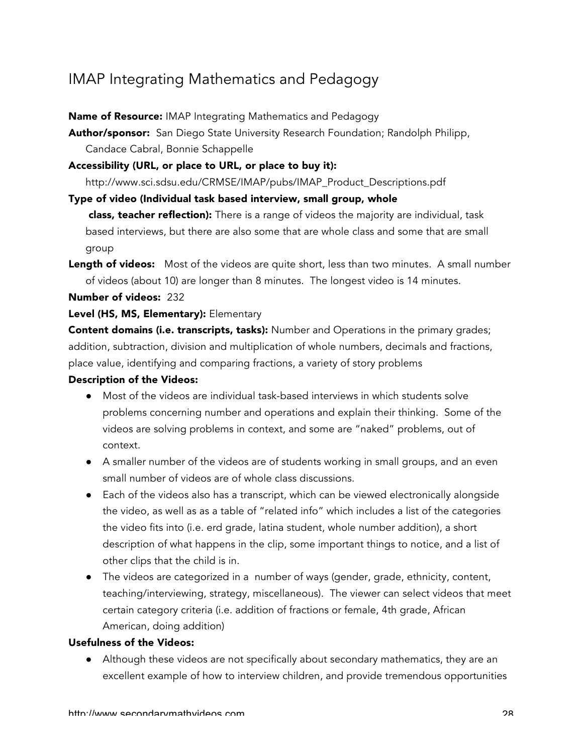## IMAP Integrating Mathematics and Pedagogy

#### Name of Resource: IMAP Integrating Mathematics and Pedagogy

Author/sponsor: San Diego State University Research Foundation; Randolph Philipp, Candace Cabral, Bonnie Schappelle

### Accessibility (URL, or place to URL, or place to buy it):

http://www.sci.sdsu.edu/CRMSE/IMAP/pubs/IMAP\_Product\_Descriptions.pdf

#### Type of video (Individual task based interview, small group, whole

class, teacher reflection): There is a range of videos the majority are individual, task based interviews, but there are also some that are whole class and some that are small group

Length of videos: Most of the videos are quite short, less than two minutes. A small number of videos (about 10) are longer than 8 minutes. The longest video is 14 minutes.

#### Number of videos: 232

## Level (HS, MS, Elementary): Elementary

Content domains (i.e. transcripts, tasks): Number and Operations in the primary grades; addition, subtraction, division and multiplication of whole numbers, decimals and fractions, place value, identifying and comparing fractions, a variety of story problems

#### Description of the Videos:

- Most of the videos are individual task-based interviews in which students solve problems concerning number and operations and explain their thinking. Some of the videos are solving problems in context, and some are "naked" problems, out of context.
- A smaller number of the videos are of students working in small groups, and an even small number of videos are of whole class discussions.
- Each of the videos also has a transcript, which can be viewed electronically alongside the video, as well as as a table of "related info" which includes a list of the categories the video fits into (i.e. erd grade, latina student, whole number addition), a short description of what happens in the clip, some important things to notice, and a list of other clips that the child is in.
- The videos are categorized in a number of ways (gender, grade, ethnicity, content, teaching/interviewing, strategy, miscellaneous). The viewer can select videos that meet certain category criteria (i.e. addition of fractions or female, 4th grade, African American, doing addition)

#### Usefulness of the Videos:

● Although these videos are not specifically about secondary mathematics, they are an excellent example of how to interview children, and provide tremendous opportunities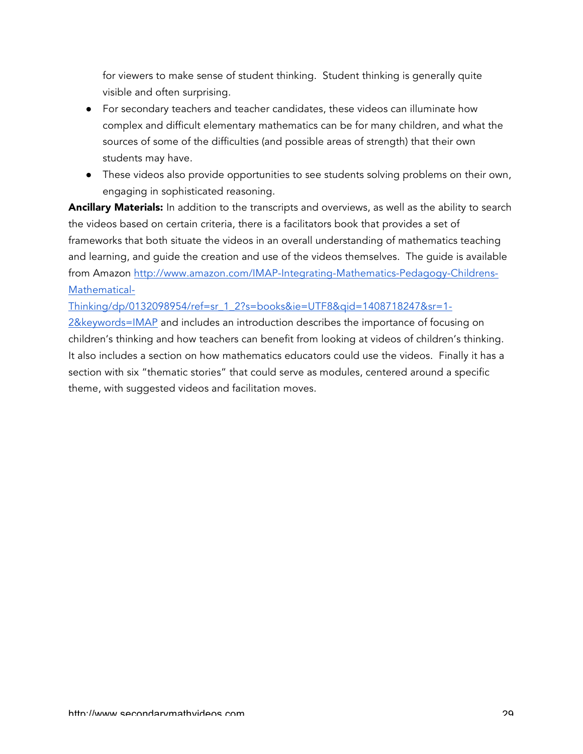for viewers to make sense of student thinking. Student thinking is generally quite visible and often surprising.

- For secondary teachers and teacher candidates, these videos can illuminate how complex and difficult elementary mathematics can be for many children, and what the sources of some of the difficulties (and possible areas of strength) that their own students may have.
- These videos also provide opportunities to see students solving problems on their own, engaging in sophisticated reasoning.

Ancillary Materials: In addition to the transcripts and overviews, as well as the ability to search the videos based on certain criteria, there is a facilitators book that provides a set of frameworks that both situate the videos in an overall understanding of mathematics teaching and learning, and guide the creation and use of the videos themselves. The guide is available from Amazon http://www.amazon.com/IMAP-Integrating-Mathematics-Pedagogy-Childrens-Mathematical-

Thinking/dp/0132098954/ref=sr\_1\_2?s=books&ie=UTF8&qid=1408718247&sr=1-

2&keywords=IMAP and includes an introduction describes the importance of focusing on children's thinking and how teachers can benefit from looking at videos of children's thinking. It also includes a section on how mathematics educators could use the videos. Finally it has a section with six "thematic stories" that could serve as modules, centered around a specific theme, with suggested videos and facilitation moves.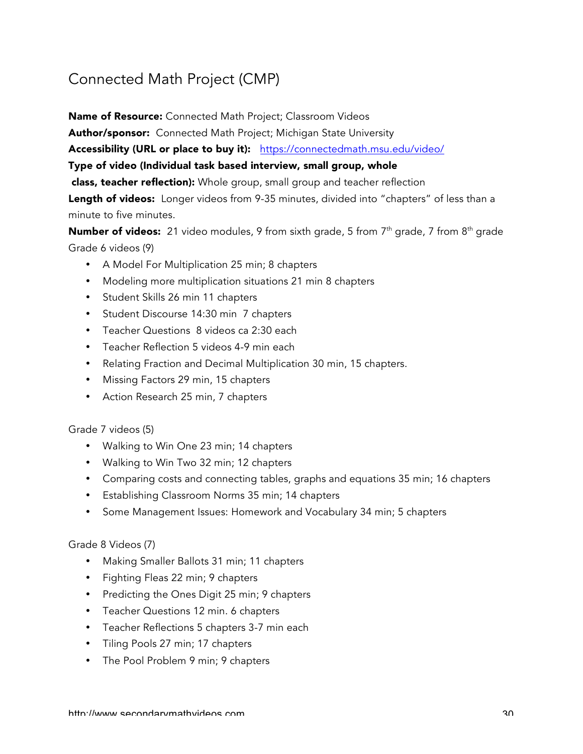## Connected Math Project (CMP)

Name of Resource: Connected Math Project; Classroom Videos

Author/sponsor: Connected Math Project; Michigan State University

Accessibility (URL or place to buy it): https://connectedmath.msu.edu/video/

Type of video (Individual task based interview, small group, whole

class, teacher reflection): Whole group, small group and teacher reflection

Length of videos: Longer videos from 9-35 minutes, divided into "chapters" of less than a minute to five minutes.

Number of videos: 21 video modules, 9 from sixth grade, 5 from 7<sup>th</sup> grade, 7 from 8<sup>th</sup> grade Grade 6 videos (9)

- A Model For Multiplication 25 min; 8 chapters
- Modeling more multiplication situations 21 min 8 chapters
- Student Skills 26 min 11 chapters
- Student Discourse 14:30 min 7 chapters
- Teacher Questions 8 videos ca 2:30 each
- Teacher Reflection 5 videos 4-9 min each
- Relating Fraction and Decimal Multiplication 30 min, 15 chapters.
- Missing Factors 29 min, 15 chapters
- Action Research 25 min, 7 chapters

## Grade 7 videos (5)

- Walking to Win One 23 min; 14 chapters
- Walking to Win Two 32 min; 12 chapters
- Comparing costs and connecting tables, graphs and equations 35 min; 16 chapters
- Establishing Classroom Norms 35 min; 14 chapters
- Some Management Issues: Homework and Vocabulary 34 min; 5 chapters

#### Grade 8 Videos (7)

- Making Smaller Ballots 31 min; 11 chapters
- Fighting Fleas 22 min; 9 chapters
- Predicting the Ones Digit 25 min; 9 chapters
- Teacher Questions 12 min. 6 chapters
- Teacher Reflections 5 chapters 3-7 min each
- Tiling Pools 27 min; 17 chapters
- The Pool Problem 9 min; 9 chapters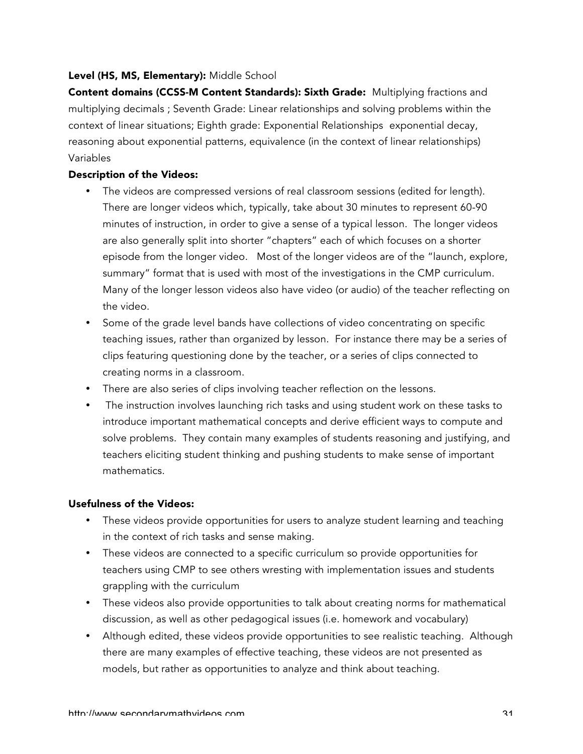### Level (HS, MS, Elementary): Middle School

Content domains (CCSS-M Content Standards): Sixth Grade: Multiplying fractions and multiplying decimals ; Seventh Grade: Linear relationships and solving problems within the context of linear situations; Eighth grade: Exponential Relationships exponential decay, reasoning about exponential patterns, equivalence (in the context of linear relationships) Variables

#### Description of the Videos:

- The videos are compressed versions of real classroom sessions (edited for length). There are longer videos which, typically, take about 30 minutes to represent 60-90 minutes of instruction, in order to give a sense of a typical lesson. The longer videos are also generally split into shorter "chapters" each of which focuses on a shorter episode from the longer video. Most of the longer videos are of the "launch, explore, summary" format that is used with most of the investigations in the CMP curriculum. Many of the longer lesson videos also have video (or audio) of the teacher reflecting on the video.
- Some of the grade level bands have collections of video concentrating on specific teaching issues, rather than organized by lesson. For instance there may be a series of clips featuring questioning done by the teacher, or a series of clips connected to creating norms in a classroom.
- There are also series of clips involving teacher reflection on the lessons.
- The instruction involves launching rich tasks and using student work on these tasks to introduce important mathematical concepts and derive efficient ways to compute and solve problems. They contain many examples of students reasoning and justifying, and teachers eliciting student thinking and pushing students to make sense of important mathematics.

#### Usefulness of the Videos:

- These videos provide opportunities for users to analyze student learning and teaching in the context of rich tasks and sense making.
- These videos are connected to a specific curriculum so provide opportunities for teachers using CMP to see others wresting with implementation issues and students grappling with the curriculum
- These videos also provide opportunities to talk about creating norms for mathematical discussion, as well as other pedagogical issues (i.e. homework and vocabulary)
- Although edited, these videos provide opportunities to see realistic teaching. Although there are many examples of effective teaching, these videos are not presented as models, but rather as opportunities to analyze and think about teaching.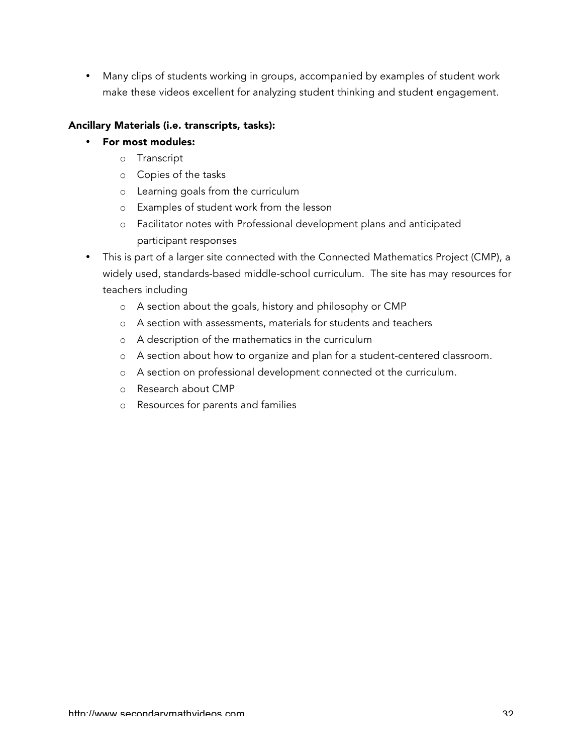• Many clips of students working in groups, accompanied by examples of student work make these videos excellent for analyzing student thinking and student engagement.

## Ancillary Materials (i.e. transcripts, tasks):

- For most modules:
	- o Transcript
	- o Copies of the tasks
	- o Learning goals from the curriculum
	- o Examples of student work from the lesson
	- o Facilitator notes with Professional development plans and anticipated participant responses
- This is part of a larger site connected with the Connected Mathematics Project (CMP), a widely used, standards-based middle-school curriculum. The site has may resources for teachers including
	- o A section about the goals, history and philosophy or CMP
	- o A section with assessments, materials for students and teachers
	- o A description of the mathematics in the curriculum
	- o A section about how to organize and plan for a student-centered classroom.
	- o A section on professional development connected ot the curriculum.
	- o Research about CMP
	- o Resources for parents and families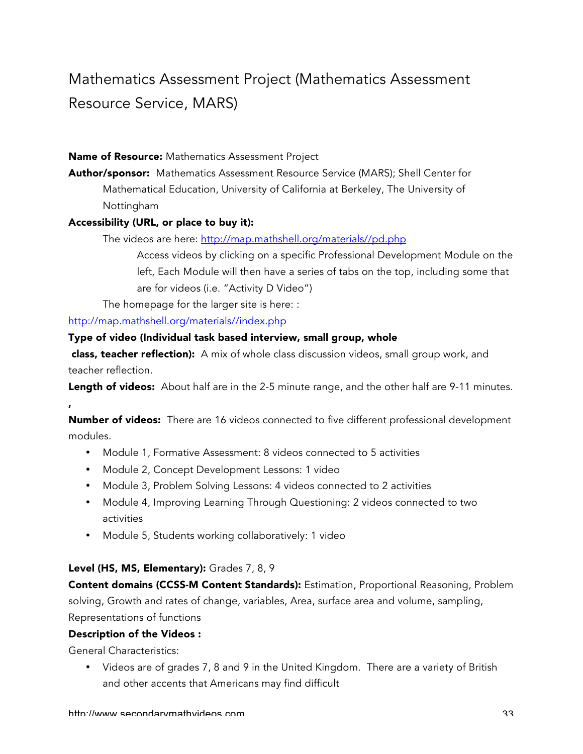# Mathematics Assessment Project (Mathematics Assessment Resource Service, MARS)

#### Name of Resource: Mathematics Assessment Project

Author/sponsor: Mathematics Assessment Resource Service (MARS); Shell Center for Mathematical Education, University of California at Berkeley, The University of Nottingham

#### Accessibility (URL, or place to buy it):

The videos are here: http://map.mathshell.org/materials//pd.php

Access videos by clicking on a specific Professional Development Module on the left, Each Module will then have a series of tabs on the top, including some that are for videos (i.e. "Activity D Video")

The homepage for the larger site is here: :

http://map.mathshell.org/materials//index.php

#### Type of video (Individual task based interview, small group, whole

**class, teacher reflection):** A mix of whole class discussion videos, small group work, and teacher reflection.

Length of videos: About half are in the 2-5 minute range, and the other half are 9-11 minutes.

Number of videos: There are 16 videos connected to five different professional development modules.

- Module 1, Formative Assessment: 8 videos connected to 5 activities
- Module 2, Concept Development Lessons: 1 video
- Module 3, Problem Solving Lessons: 4 videos connected to 2 activities
- Module 4, Improving Learning Through Questioning: 2 videos connected to two activities
- Module 5, Students working collaboratively: 1 video

#### Level (HS, MS, Elementary): Grades 7, 8, 9

Content domains (CCSS-M Content Standards): Estimation, Proportional Reasoning, Problem solving, Growth and rates of change, variables, Area, surface area and volume, sampling, Representations of functions

#### Description of the Videos :

General Characteristics:

,

• Videos are of grades 7, 8 and 9 in the United Kingdom. There are a variety of British and other accents that Americans may find difficult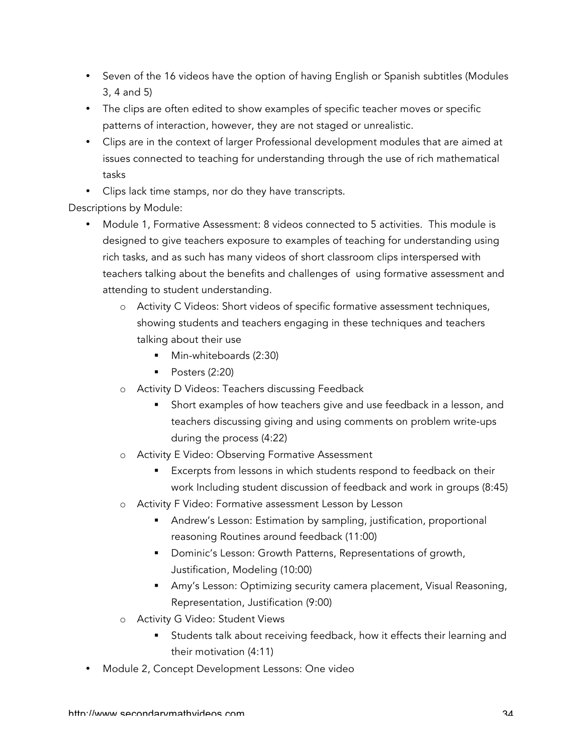- Seven of the 16 videos have the option of having English or Spanish subtitles (Modules 3, 4 and 5)
- The clips are often edited to show examples of specific teacher moves or specific patterns of interaction, however, they are not staged or unrealistic.
- Clips are in the context of larger Professional development modules that are aimed at issues connected to teaching for understanding through the use of rich mathematical tasks
- Clips lack time stamps, nor do they have transcripts.

Descriptions by Module:

- Module 1, Formative Assessment: 8 videos connected to 5 activities. This module is designed to give teachers exposure to examples of teaching for understanding using rich tasks, and as such has many videos of short classroom clips interspersed with teachers talking about the benefits and challenges of using formative assessment and attending to student understanding.
	- o Activity C Videos: Short videos of specific formative assessment techniques, showing students and teachers engaging in these techniques and teachers talking about their use
		- Min-whiteboards (2:30)
		- Posters (2:20)
	- o Activity D Videos: Teachers discussing Feedback
		- **•** Short examples of how teachers give and use feedback in a lesson, and teachers discussing giving and using comments on problem write-ups during the process (4:22)
	- o Activity E Video: Observing Formative Assessment
		- Excerpts from lessons in which students respond to feedback on their work Including student discussion of feedback and work in groups (8:45)
	- o Activity F Video: Formative assessment Lesson by Lesson
		- Andrew's Lesson: Estimation by sampling, justification, proportional reasoning Routines around feedback (11:00)
		- Dominic's Lesson: Growth Patterns, Representations of growth, Justification, Modeling (10:00)
		- Amy's Lesson: Optimizing security camera placement, Visual Reasoning, Representation, Justification (9:00)
	- o Activity G Video: Student Views
		- Students talk about receiving feedback, how it effects their learning and their motivation (4:11)
- Module 2, Concept Development Lessons: One video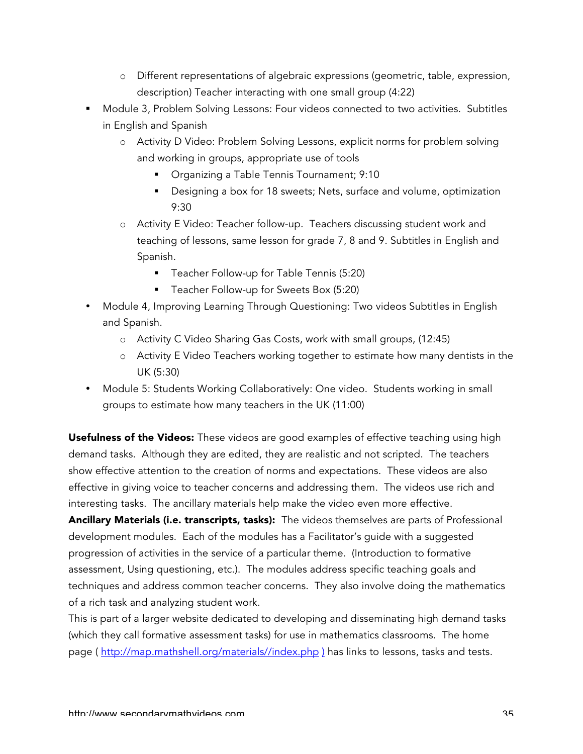- o Different representations of algebraic expressions (geometric, table, expression, description) Teacher interacting with one small group (4:22)
- § Module 3, Problem Solving Lessons: Four videos connected to two activities. Subtitles in English and Spanish
	- o Activity D Video: Problem Solving Lessons, explicit norms for problem solving and working in groups, appropriate use of tools
		- Organizing a Table Tennis Tournament; 9:10
		- Designing a box for 18 sweets; Nets, surface and volume, optimization 9:30
	- o Activity E Video: Teacher follow-up. Teachers discussing student work and teaching of lessons, same lesson for grade 7, 8 and 9. Subtitles in English and Spanish.
		- Teacher Follow-up for Table Tennis (5:20)
		- Teacher Follow-up for Sweets Box (5:20)
- Module 4, Improving Learning Through Questioning: Two videos Subtitles in English and Spanish.
	- o Activity C Video Sharing Gas Costs, work with small groups, (12:45)
	- o Activity E Video Teachers working together to estimate how many dentists in the UK (5:30)
- Module 5: Students Working Collaboratively: One video. Students working in small groups to estimate how many teachers in the UK (11:00)

Usefulness of the Videos: These videos are good examples of effective teaching using high demand tasks. Although they are edited, they are realistic and not scripted. The teachers show effective attention to the creation of norms and expectations. These videos are also effective in giving voice to teacher concerns and addressing them. The videos use rich and interesting tasks. The ancillary materials help make the video even more effective.

Ancillary Materials (i.e. transcripts, tasks): The videos themselves are parts of Professional development modules. Each of the modules has a Facilitator's guide with a suggested progression of activities in the service of a particular theme. (Introduction to formative assessment, Using questioning, etc.). The modules address specific teaching goals and techniques and address common teacher concerns. They also involve doing the mathematics of a rich task and analyzing student work.

This is part of a larger website dedicated to developing and disseminating high demand tasks (which they call formative assessment tasks) for use in mathematics classrooms. The home page ( http://map.mathshell.org/materials//index.php ) has links to lessons, tasks and tests.